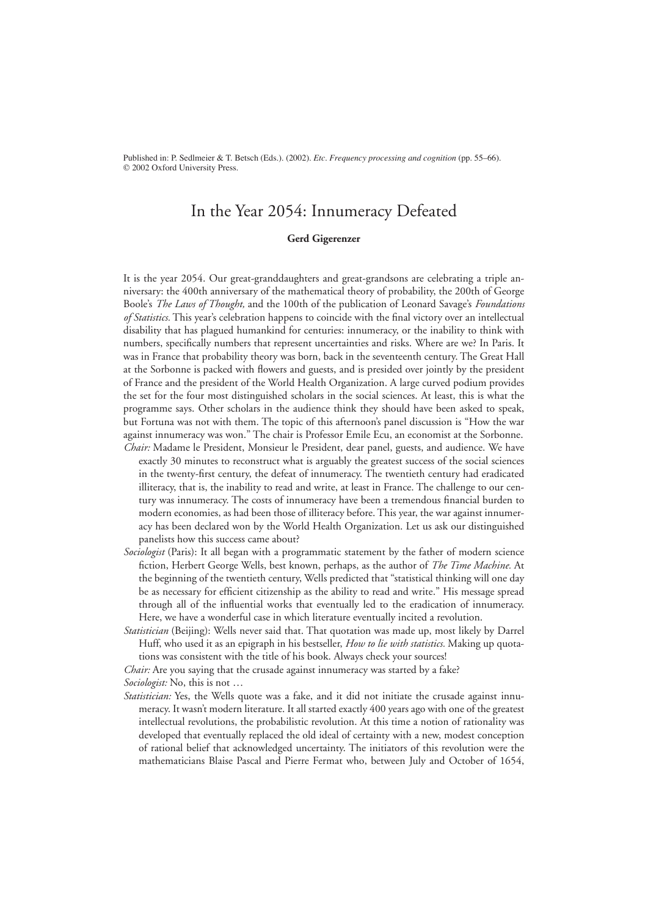Published in: P. Sedlmeier & T. Betsch (Eds.). (2002). *Etc. Frequency processing and cognition* (pp. 55–66). © 2002 Oxford University Press.

# In the Year 2054: Innumeracy Defeated

#### **Gerd Gigerenzer**

It is the year 2054. Our great-granddaughters and great-grandsons are celebrating a triple anniversary: the 400th anniversary of the mathematical theory of probability, the 200th of George Boole's *The Laws of Thought,* and the 100th of the publication of Leonard Savage's *Foundations of Statistics*. This year's celebration happens to coincide with the final victory over an intellectual disability that has plagued humankind for centuries: innumeracy, or the inability to think with numbers, specifically numbers that represent uncertainties and risks. Where are we? In Paris. It was in France that probability theory was born, back in the seventeenth century. The Great Hall at the Sorbonne is packed with flowers and guests, and is presided over jointly by the president of France and the president of the World Health Organization. A large curved podium provides the set for the four most distinguished scholars in the social sciences. At least, this is what the programme says. Other scholars in the audience think they should have been asked to speak, but Fortuna was not with them. The topic of this afternoon's panel discussion is "How the war against innumeracy was won." The chair is Professor Emile Ecu, an economist at the Sorbonne. *Chair:* Madame le President, Monsieur le President, dear panel, guests, and audience. We have

- exactly 30 minutes to reconstruct what is arguably the greatest success of the social sciences in the twenty-first century, the defeat of innumeracy. The twentieth century had eradicated illiteracy, that is, the inability to read and write, at least in France. The challenge to our century was innumeracy. The costs of innumeracy have been a tremendous financial burden to modern economies, as had been those of illiteracy before. This year, the war against innumeracy has been declared won by the World Health Organization. Let us ask our distinguished panelists how this success came about?
- *Sociologist* (Paris): It all began with a programmatic statement by the father of modern science fiction, Herbert George Wells, best known, perhaps, as the author of *The Time Machine*. At the beginning of the twentieth century, Wells predicted that "statistical thinking will one day be as necessary for efficient citizenship as the ability to read and write." His message spread through all of the influential works that eventually led to the eradication of innumeracy. Here, we have a wonderful case in which literature eventually incited a revolution.
- *Statistician* (Beijing): Wells never said that. That quotation was made up, most likely by Darrel Huff, who used it as an epigraph in his bestseller, *How to lie with statistics.* Making up quotations was consistent with the title of his book. Always check your sources!

*Chair:* Are you saying that the crusade against innumeracy was started by a fake?

*Sociologist:* No, this is not …

*Statistician:* Yes, the Wells quote was a fake, and it did not initiate the crusade against innumeracy. It wasn't modern literature. It all started exactly 400 years ago with one of the greatest intellectual revolutions, the probabilistic revolution. At this time a notion of rationality was developed that eventually replaced the old ideal of certainty with a new, modest conception of rational belief that acknowledged uncertainty. The initiators of this revolution were the mathematicians Blaise Pascal and Pierre Fermat who, between July and October of 1654,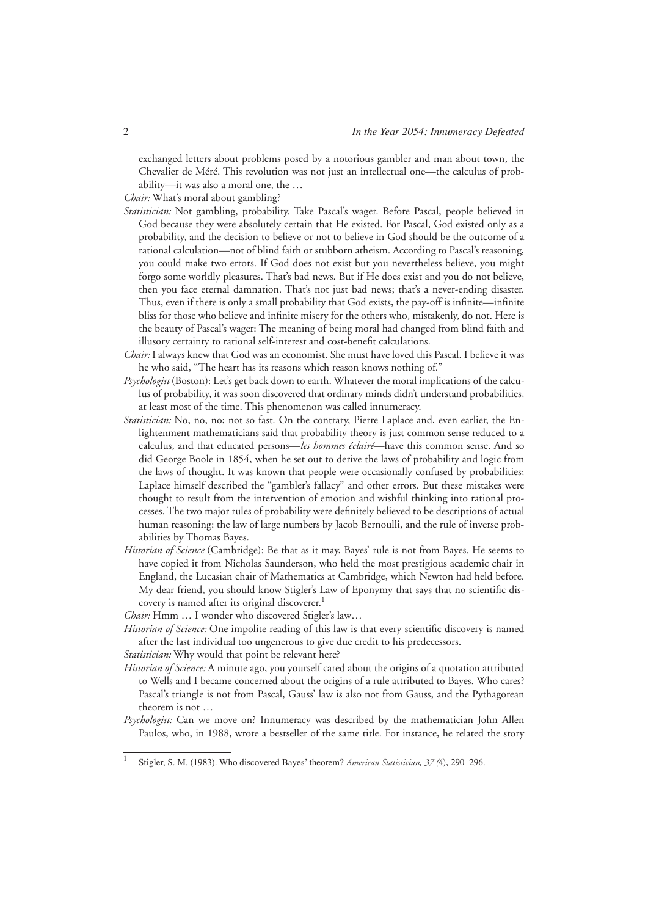exchanged letters about problems posed by a notorious gambler and man about town, the Chevalier de Méré. This revolution was not just an intellectual one—the calculus of probability—it was also a moral one, the …

*Chair:* What's moral about gambling?

- *Statistician:* Not gambling, probability. Take Pascal's wager. Before Pascal, people believed in God because they were absolutely certain that He existed. For Pascal, God existed only as a probability, and the decision to believe or not to believe in God should be the outcome of a rational calculation—not of blind faith or stubborn atheism. According to Pascal's reasoning, you could make two errors. If God does not exist but you nevertheless believe, you might forgo some worldly pleasures. That's bad news. But if He does exist and you do not believe, then you face eternal damnation. That's not just bad news; that's a never-ending disaster. Thus, even if there is only a small probability that God exists, the pay-off is infinite—infinite bliss for those who believe and infinite misery for the others who, mistakenly, do not. Here is the beauty of Pascal's wager: The meaning of being moral had changed from blind faith and illusory certainty to rational self-interest and cost-benefit calculations.
- *Chair:* I always knew that God was an economist. She must have loved this Pascal. I believe it was he who said, "The heart has its reasons which reason knows nothing of."
- *Psychologist* (Boston): Let's get back down to earth. Whatever the moral implications of the calculus of probability, it was soon discovered that ordinary minds didn't understand probabilities, at least most of the time. This phenomenon was called innumeracy.
- *Statistician:* No, no, no; not so fast. On the contrary, Pierre Laplace and, even earlier, the Enlightenment mathematicians said that probability theory is just common sense reduced to a calculus, and that educated persons—*les hommes éclairé*—have this common sense. And so did George Boole in 1854, when he set out to derive the laws of probability and logic from the laws of thought. It was known that people were occasionally confused by probabilities; Laplace himself described the "gambler's fallacy" and other errors. But these mistakes were thought to result from the intervention of emotion and wishful thinking into rational processes. The two major rules of probability were definitely believed to be descriptions of actual human reasoning: the law of large numbers by Jacob Bernoulli, and the rule of inverse probabilities by Thomas Bayes.
- *Historian of Science* (Cambridge): Be that as it may, Bayes' rule is not from Bayes. He seems to have copied it from Nicholas Saunderson, who held the most prestigious academic chair in England, the Lucasian chair of Mathematics at Cambridge, which Newton had held before. My dear friend, you should know Stigler's Law of Eponymy that says that no scientific discovery is named after its original discoverer.<sup>1</sup>

*Chair:* Hmm … I wonder who discovered Stigler's law…

*Historian of Science:* One impolite reading of this law is that every scientific discovery is named after the last individual too ungenerous to give due credit to his predecessors.

*Statistician:* Why would that point be relevant here?

- *Historian of Science:* A minute ago, you yourself cared about the origins of a quotation attributed to Wells and I became concerned about the origins of a rule attributed to Bayes. Who cares? Pascal's triangle is not from Pascal, Gauss' law is also not from Gauss, and the Pythagorean theorem is not …
- *Psychologist:* Can we move on? Innumeracy was described by the mathematician John Allen Paulos, who, in 1988, wrote a bestseller of the same title. For instance, he related the story

<sup>1</sup> Stigler, S. M. (1983). Who discovered Bayes' theorem? *American Statistician, 37 (*4), 290–296.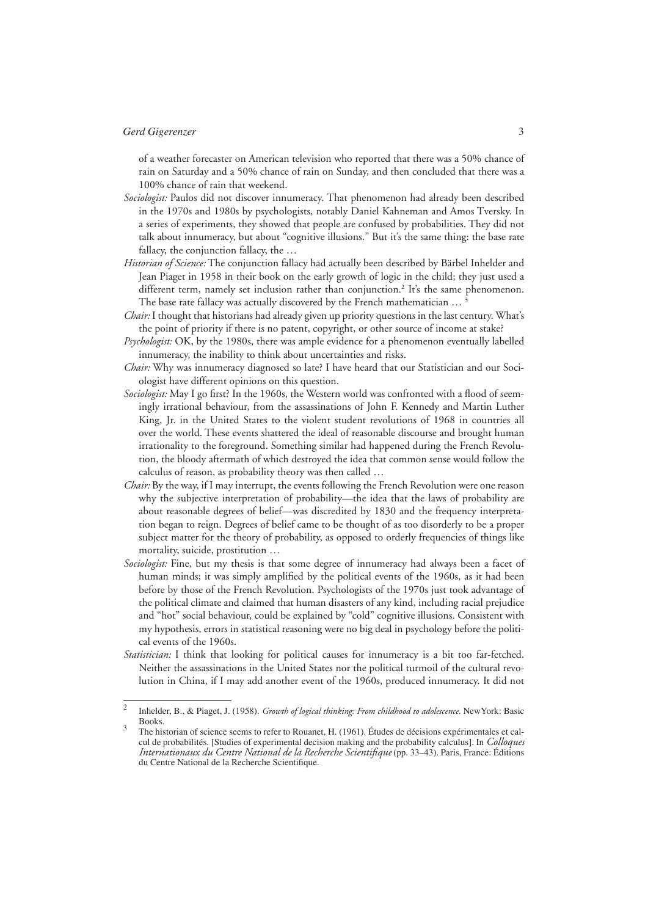of a weather forecaster on American television who reported that there was a 50% chance of rain on Saturday and a 50% chance of rain on Sunday, and then concluded that there was a 100% chance of rain that weekend.

- *Sociologist:* Paulos did not discover innumeracy. That phenomenon had already been described in the 1970s and 1980s by psychologists, notably Daniel Kahneman and Amos Tversky. In a series of experiments, they showed that people are confused by probabilities. They did not talk about innumeracy, but about "cognitive illusions." But it's the same thing: the base rate fallacy, the conjunction fallacy, the …
- *Historian of Science:* The conjunction fallacy had actually been described by Bärbel Inhelder and Jean Piaget in 1958 in their book on the early growth of logic in the child; they just used a different term, namely set inclusion rather than conjunction.<sup>2</sup> It's the same phenomenon. The base rate fallacy was actually discovered by the French mathematician ...<sup>3</sup>
- *Chair:* I thought that historians had already given up priority questions in the last century. What's the point of priority if there is no patent, copyright, or other source of income at stake?
- *Psychologist:* OK, by the 1980s, there was ample evidence for a phenomenon eventually labelled innumeracy, the inability to think about uncertainties and risks.
- *Chair:* Why was innumeracy diagnosed so late? I have heard that our Statistician and our Sociologist have different opinions on this question.
- *Sociologist:* May I go first? In the 1960s, the Western world was confronted with a flood of seemingly irrational behaviour, from the assassinations of John F. Kennedy and Martin Luther King, Jr. in the United States to the violent student revolutions of 1968 in countries all over the world. These events shattered the ideal of reasonable discourse and brought human irrationality to the foreground. Something similar had happened during the French Revolution, the bloody aftermath of which destroyed the idea that common sense would follow the calculus of reason, as probability theory was then called …
- *Chair:* By the way, if I may interrupt, the events following the French Revolution were one reason why the subjective interpretation of probability—the idea that the laws of probability are about reasonable degrees of belief—was discredited by 1830 and the frequency interpretation began to reign. Degrees of belief came to be thought of as too disorderly to be a proper subject matter for the theory of probability, as opposed to orderly frequencies of things like mortality, suicide, prostitution …
- *Sociologist:* Fine, but my thesis is that some degree of innumeracy had always been a facet of human minds; it was simply amplified by the political events of the 1960s, as it had been before by those of the French Revolution. Psychologists of the 1970s just took advantage of the political climate and claimed that human disasters of any kind, including racial prejudice and "hot" social behaviour, could be explained by "cold" cognitive illusions. Consistent with my hypothesis, errors in statistical reasoning were no big deal in psychology before the political events of the 1960s.
- *Statistician:* I think that looking for political causes for innumeracy is a bit too far-fetched. Neither the assassinations in the United States nor the political turmoil of the cultural revolution in China, if I may add another event of the 1960s, produced innumeracy. It did not

<sup>2</sup> Inhelder, B., & Piaget, J. (1958). *Growth of logical thinking: From childhood to adolescence.* NewYork: Basic Books. 3

The historian of science seems to refer to Rouanet, H. (1961). Études de décisions expérimentales et cal-<br>cul de probabilités. [Studies of experimental decision making and the probability calculus]. In *Colloques* Internationaux du Centre National de la Recherche Scientifique (pp. 33–43). Paris, France: Éditions du Centre National de la Recherche Scientifique.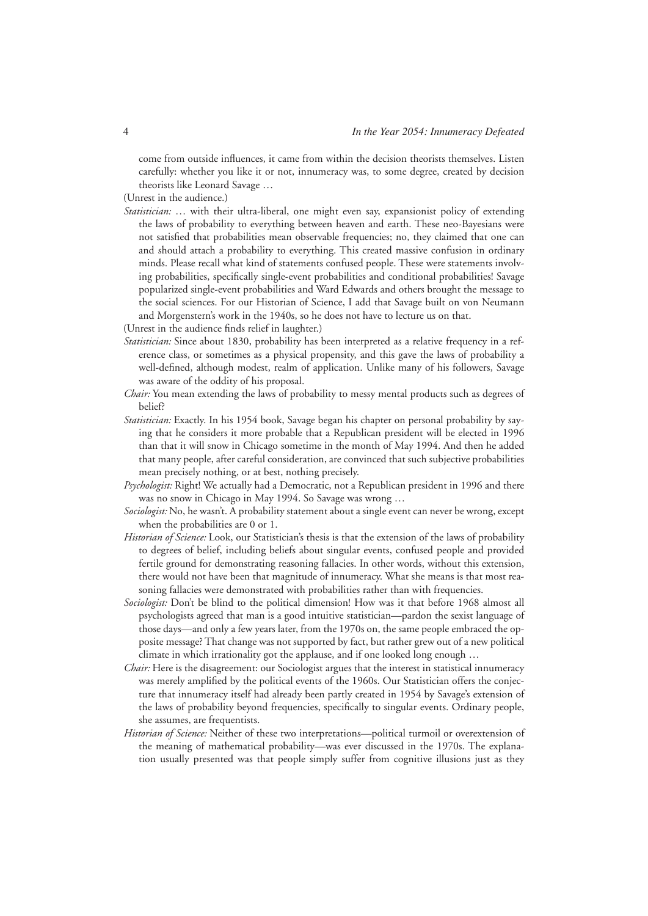come from outside influences, it came from within the decision theorists themselves. Listen carefully: whether you like it or not, innumeracy was, to some degree, created by decision theorists like Leonard Savage …

(Unrest in the audience.)

*Statistician:* … with their ultra-liberal, one might even say, expansionist policy of extending the laws of probability to everything between heaven and earth. These neo-Bayesians were not satisfied that probabilities mean observable frequencies; no, they claimed that one can and should attach a probability to everything. This created massive confusion in ordinary minds. Please recall what kind of statements confused people. These were statements involving probabilities, specifically single-event probabilities and conditional probabilities! Savage popularized single-event probabilities and Ward Edwards and others brought the message to the social sciences. For our Historian of Science, I add that Savage built on von Neumann and Morgenstern's work in the 1940s, so he does not have to lecture us on that.

(Unrest in the audience finds relief in laughter.)

- *Statistician:* Since about 1830, probability has been interpreted as a relative frequency in a reference class, or sometimes as a physical propensity, and this gave the laws of probability a well-defined, although modest, realm of application. Unlike many of his followers, Savage was aware of the oddity of his proposal.
- *Chair:* You mean extending the laws of probability to messy mental products such as degrees of belief?
- *Statistician:* Exactly. In his 1954 book, Savage began his chapter on personal probability by saying that he considers it more probable that a Republican president will be elected in 1996 than that it will snow in Chicago sometime in the month of May 1994. And then he added that many people, after careful consideration, are convinced that such subjective probabilities mean precisely nothing, or at best, nothing precisely.
- *Psychologist:* Right! We actually had a Democratic, not a Republican president in 1996 and there was no snow in Chicago in May 1994. So Savage was wrong …
- *Sociologist:* No, he wasn't. A probability statement about a single event can never be wrong, except when the probabilities are 0 or 1.
- *Historian of Science:* Look, our Statistician's thesis is that the extension of the laws of probability to degrees of belief, including beliefs about singular events, confused people and provided fertile ground for demonstrating reasoning fallacies. In other words, without this extension, there would not have been that magnitude of innumeracy. What she means is that most reasoning fallacies were demonstrated with probabilities rather than with frequencies.
- *Sociologist:* Don't be blind to the political dimension! How was it that before 1968 almost all psychologists agreed that man is a good intuitive statistician—pardon the sexist language of those days—and only a few years later, from the 1970s on, the same people embraced the opposite message? That change was not supported by fact, but rather grew out of a new political climate in which irrationality got the applause, and if one looked long enough …
- *Chair:* Here is the disagreement: our Sociologist argues that the interest in statistical innumeracy was merely amplified by the political events of the 1960s. Our Statistician offers the conjecture that innumeracy itself had already been partly created in 1954 by Savage's extension of the laws of probability beyond frequencies, specifically to singular events. Ordinary people, she assumes, are frequentists.
- *Historian of Science:* Neither of these two interpretations—political turmoil or overextension of the meaning of mathematical probability—was ever discussed in the 1970s. The explanation usually presented was that people simply suffer from cognitive illusions just as they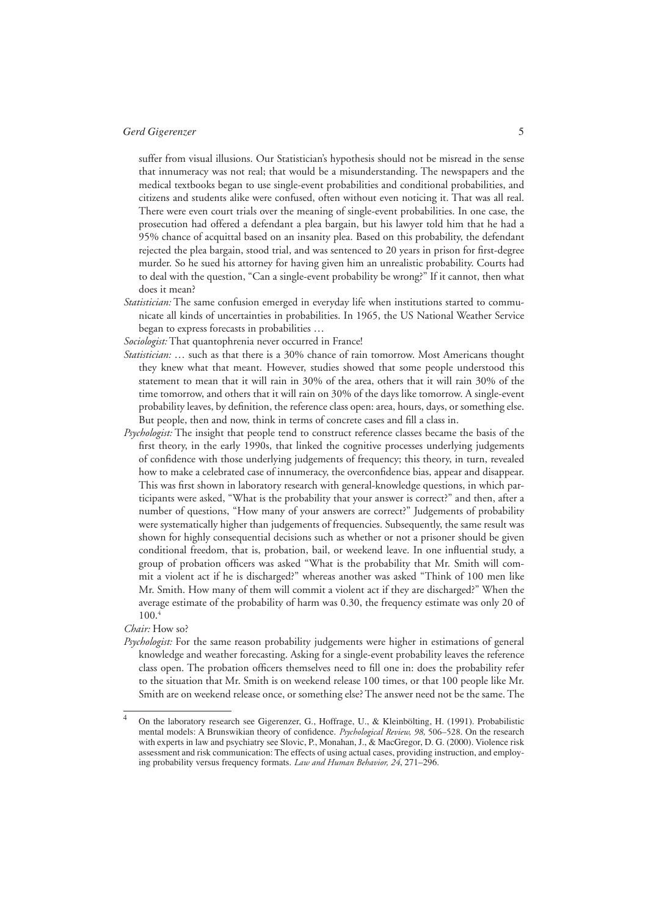suffer from visual illusions. Our Statistician's hypothesis should not be misread in the sense that innumeracy was not real; that would be a misunderstanding. The newspapers and the medical textbooks began to use single-event probabilities and conditional probabilities, and citizens and students alike were confused, often without even noticing it. That was all real. There were even court trials over the meaning of single-event probabilities. In one case, the prosecution had offered a defendant a plea bargain, but his lawyer told him that he had a 95% chance of acquittal based on an insanity plea. Based on this probability, the defendant rejected the plea bargain, stood trial, and was sentenced to 20 years in prison for first-degree murder. So he sued his attorney for having given him an unrealistic probability. Courts had to deal with the question, "Can a single-event probability be wrong?" If it cannot, then what does it mean?

*Statistician:* The same confusion emerged in everyday life when institutions started to communicate all kinds of uncertainties in probabilities. In 1965, the US National Weather Service began to express forecasts in probabilities …

*Sociologist:* That quantophrenia never occurred in France!

- *Statistician:* … such as that there is a 30% chance of rain tomorrow. Most Americans thought they knew what that meant. However, studies showed that some people understood this statement to mean that it will rain in 30% of the area, others that it will rain 30% of the time tomorrow, and others that it will rain on 30% of the days like tomorrow. A single-event probability leaves, by definition, the reference class open: area, hours, days, or something else. But people, then and now, think in terms of concrete cases and fill a class in.
- *Psychologist:* The insight that people tend to construct reference classes became the basis of the first theory, in the early 1990s, that linked the cognitive processes underlying judgements of confidence with those underlying judgements of frequency; this theory, in turn, revealed how to make a celebrated case of innumeracy, the overconfidence bias, appear and disappear. This was first shown in laboratory research with general-knowledge questions, in which participants were asked, "What is the probability that your answer is correct?" and then, after a number of questions, "How many of your answers are correct?" Judgements of probability were systematically higher than judgements of frequencies. Subsequently, the same result was shown for highly consequential decisions such as whether or not a prisoner should be given conditional freedom, that is, probation, bail, or weekend leave. In one influential study, a group of probation officers was asked "What is the probability that Mr. Smith will commit a violent act if he is discharged?" whereas another was asked "Think of 100 men like Mr. Smith. How many of them will commit a violent act if they are discharged?" When the average estimate of the probability of harm was 0.30, the frequency estimate was only 20 of 100.4

#### *Chair:* How so?

*Psychologist:* For the same reason probability judgements were higher in estimations of general knowledge and weather forecasting. Asking for a single-event probability leaves the reference class open. The probation officers themselves need to fill one in: does the probability refer to the situation that Mr. Smith is on weekend release 100 times, or that 100 people like Mr. Smith are on weekend release once, or something else? The answer need not be the same. The

<sup>4</sup> On the laboratory research see Gigerenzer, G., Hoffrage, U., & Kleinbölting, H. (1991). Probabilistic mental models: A Brunswikian theory of confidence. *Psychological Review, 98*, 506-528. On the research with experts in law and psychiatry see Slovic, P., Monahan, J., & MacGregor, D. G. (2000). Violence risk assessment and risk communication: The effects of using actual cases, providing instruction, and employing probability versus frequency formats. *Law and Human Behavior, 24*, 271–296.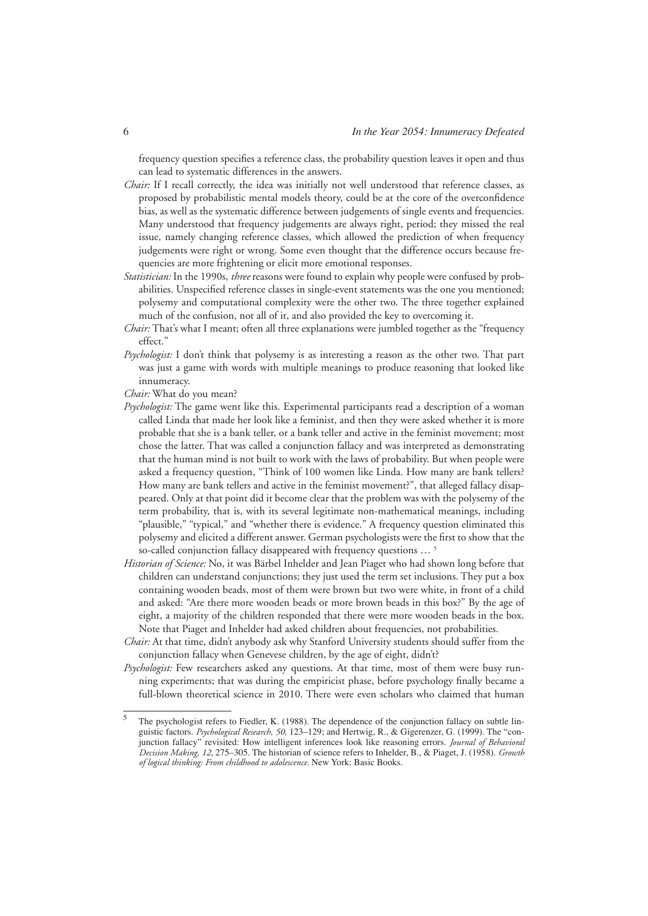frequency question specifies a reference class, the probability question leaves it open and thus can lead to systematic differences in the answers.

- *Chair:* If I recall correctly, the idea was initially not well understood that reference classes, as proposed by probabilistic mental models theory, could be at the core of the overconfidence bias, as well as the systematic difference between judgements of single events and frequencies. Many understood that frequency judgements are always right, period; they missed the real issue, namely changing reference classes, which allowed the prediction of when frequency judgements were right or wrong. Some even thought that the difference occurs because frequencies are more frightening or elicit more emotional responses.
- *Statistician:* In the 1990s, *three* reasons were found to explain why people were confused by probabilities. Unspecified reference classes in single-event statements was the one you mentioned; polysemy and computational complexity were the other two. The three together explained much of the confusion, not all of it, and also provided the key to overcoming it.
- *Chair:* That's what I meant; often all three explanations were jumbled together as the "frequency effect."
- *Psychologist:* I don't think that polysemy is as interesting a reason as the other two. That part was just a game with words with multiple meanings to produce reasoning that looked like innumeracy.
- *Chair:* What do you mean?
- *Psychologist:* The game went like this. Experimental participants read a description of a woman called Linda that made her look like a feminist, and then they were asked whether it is more probable that she is a bank teller, or a bank teller and active in the feminist movement; most chose the latter. That was called a conjunction fallacy and was interpreted as demonstrating that the human mind is not built to work with the laws of probability. But when people were asked a frequency question, "Think of 100 women like Linda. How many are bank tellers? How many are bank tellers and active in the feminist movement?", that alleged fallacy disappeared. Only at that point did it become clear that the problem was with the polysemy of the term probability, that is, with its several legitimate non-mathematical meanings, including "plausible," "typical," and "whether there is evidence." A frequency question eliminated this polysemy and elicited a different answer. German psychologists were the first to show that the so-called conjunction fallacy disappeared with frequency questions ...<sup>5</sup>
- *Historian of Science:* No, it was Bärbel Inhelder and Jean Piaget who had shown long before that children can understand conjunctions; they just used the term set inclusions. They put a box containing wooden beads, most of them were brown but two were white, in front of a child and asked: "Are there more wooden beads or more brown beads in this box?" By the age of eight, a majority of the children responded that there were more wooden beads in the box. Note that Piaget and Inhelder had asked children about frequencies, not probabilities.
- *Chair:* At that time, didn't anybody ask why Stanford University students should suffer from the conjunction fallacy when Genevese children, by the age of eight, didn't?
- *Psychologist:* Few researchers asked any questions. At that time, most of them were busy running experiments; that was during the empiricist phase, before psychology finally became a full-blown theoretical science in 2010. There were even scholars who claimed that human

<sup>5</sup> The psychologist refers to Fiedler, K. (1988). The dependence of the conjunction fallacy on subtle linguistic factors. *Psychological Research, 50,* 123–129; and Hertwig, R., & Gigerenzer, G. (1999). The "conjunction fallacy" revisited: How intelligent inferences look like reasoning errors. *Journal of Behavioral Decision Making, 12*, 275–305. The historian of science refers to Inhelder, B., & Piaget, J. (1958). *Growth of logical thinking: From childhood to adolescence.* New York: Basic Books.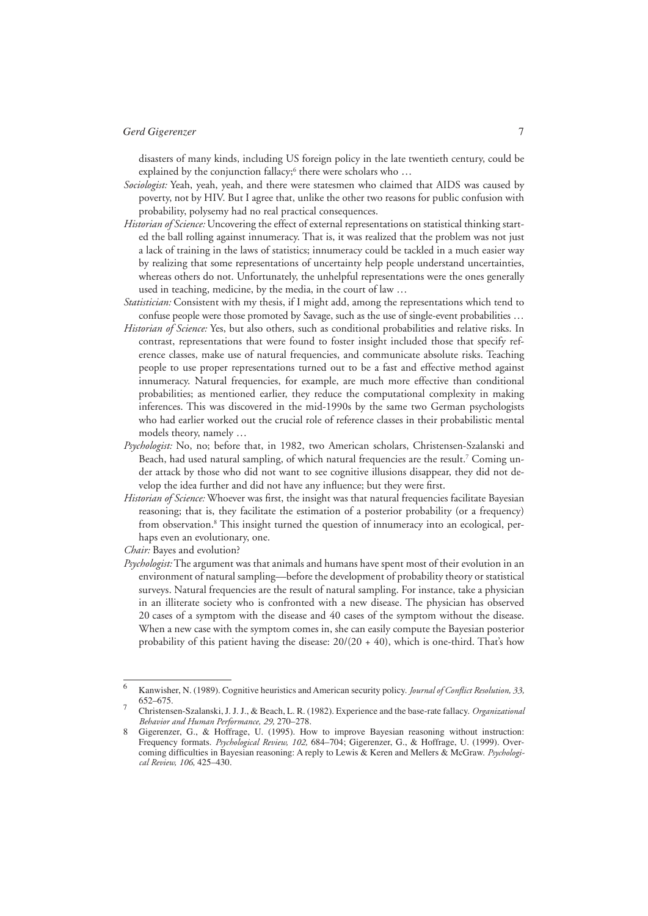disasters of many kinds, including US foreign policy in the late twentieth century, could be explained by the conjunction fallacy;<sup>6</sup> there were scholars who ...

- *Sociologist:* Yeah, yeah, yeah, and there were statesmen who claimed that AIDS was caused by poverty, not by HIV. But I agree that, unlike the other two reasons for public confusion with probability, polysemy had no real practical consequences.
- *Historian of Science:* Uncovering the effect of external representations on statistical thinking started the ball rolling against innumeracy. That is, it was realized that the problem was not just a lack of training in the laws of statistics; innumeracy could be tackled in a much easier way by realizing that some representations of uncertainty help people understand uncertainties, whereas others do not. Unfortunately, the unhelpful representations were the ones generally used in teaching, medicine, by the media, in the court of law …
- *Statistician:* Consistent with my thesis, if I might add, among the representations which tend to confuse people were those promoted by Savage, such as the use of single-event probabilities …
- *Historian of Science:* Yes, but also others, such as conditional probabilities and relative risks. In contrast, representations that were found to foster insight included those that specify reference classes, make use of natural frequencies, and communicate absolute risks. Teaching people to use proper representations turned out to be a fast and effective method against innumeracy. Natural frequencies, for example, are much more effective than conditional probabilities; as mentioned earlier, they reduce the computational complexity in making inferences. This was discovered in the mid-1990s by the same two German psychologists who had earlier worked out the crucial role of reference classes in their probabilistic mental models theory, namely …
- *Psychologist:* No, no; before that, in 1982, two American scholars, Christensen-Szalanski and Beach, had used natural sampling, of which natural frequencies are the result.<sup>7</sup> Coming under attack by those who did not want to see cognitive illusions disappear, they did not develop the idea further and did not have any influence; but they were first.
- *Historian of Science:* Whoever was first, the insight was that natural frequencies facilitate Bayesian reasoning; that is, they facilitate the estimation of a posterior probability (or a frequency) from observation.<sup>8</sup> This insight turned the question of innumeracy into an ecological, perhaps even an evolutionary, one.

*Chair:* Bayes and evolution?

*Psychologist:* The argument was that animals and humans have spent most of their evolution in an environment of natural sampling—before the development of probability theory or statistical surveys. Natural frequencies are the result of natural sampling. For instance, take a physician in an illiterate society who is confronted with a new disease. The physician has observed 20 cases of a symptom with the disease and 40 cases of the symptom without the disease. When a new case with the symptom comes in, she can easily compute the Bayesian posterior probability of this patient having the disease:  $20/(20 + 40)$ , which is one-third. That's how

<sup>6</sup> Kanwisher, N. (1989). Cognitive heuristics and American security policy. *Journal of Conflict Resolution*, 33, 652–675.

<sup>7</sup> Christensen-Szalanski, J. J. J., & Beach, L. R. (1982). Experience and the base-rate fallacy. *Organizational Behavior and Human Performance, 29,* 270–278.

<sup>8</sup> Gigerenzer, G., & Hoffrage, U. (1995). How to improve Bayesian reasoning without instruction: Frequency formats. *Psychological Review, 102,* 684–704; Gigerenzer, G., & Hoffrage, U. (1999). Overcoming difficulties in Bayesian reasoning: A reply to Lewis & Keren and Mellers & McGraw. *Psychological Review, 106,* 425–430.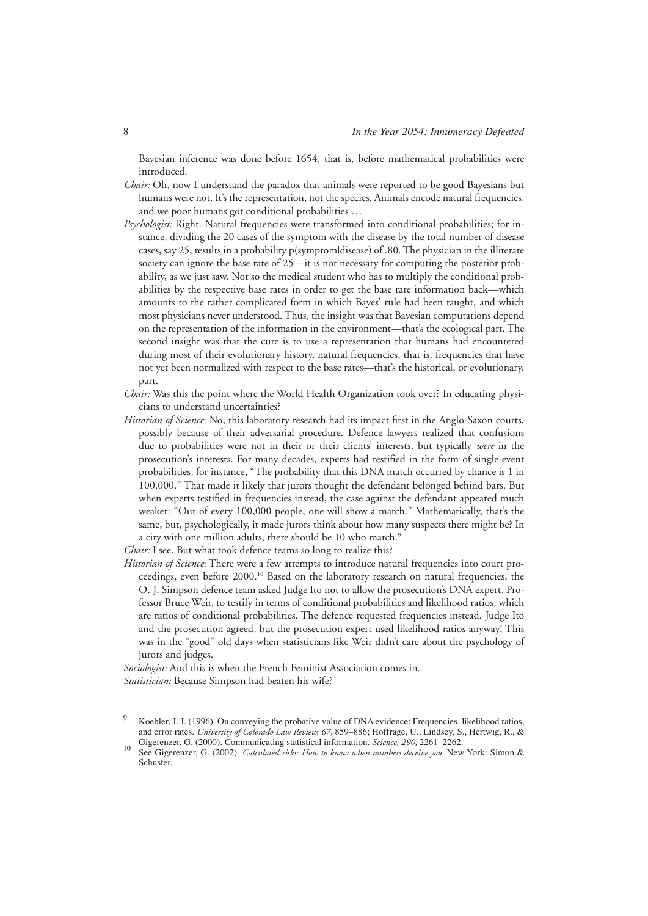Bayesian inference was done before 1654, that is, before mathematical probabilities were introduced.

- *Chair:* Oh, now I understand the paradox that animals were reported to be good Bayesians but humans were not. It's the representation, not the species. Animals encode natural frequencies, and we poor humans got conditional probabilities …
- *Psychologist:* Right. Natural frequencies were transformed into conditional probabilities; for instance, dividing the 20 cases of the symptom with the disease by the total number of disease cases, say 25, results in a probability p(symptom|disease) of .80. The physician in the illiterate society can ignore the base rate of 25—it is not necessary for computing the posterior probability, as we just saw. Not so the medical student who has to multiply the conditional probabilities by the respective base rates in order to get the base rate information back—which amounts to the rather complicated form in which Bayes' rule had been taught, and which most physicians never understood. Thus, the insight was that Bayesian computations depend on the representation of the information in the environment—that's the ecological part. The second insight was that the cure is to use a representation that humans had encountered during most of their evolutionary history, natural frequencies, that is, frequencies that have not yet been normalized with respect to the base rates—that's the historical, or evolutionary, part.
- *Chair:* Was this the point where the World Health Organization took over? In educating physicians to understand uncertainties?
- *Historian of Science:* No, this laboratory research had its impact first in the Anglo-Saxon courts, possibly because of their adversarial procedure. Defence lawyers realized that confusions due to probabilities were not in their or their clients' interests, but typically *were* in the prosecution's interests. For many decades, experts had testified in the form of single-event probabilities, for instance, "The probability that this DNA match occurred by chance is 1 in 100,000." That made it likely that jurors thought the defendant belonged behind bars. But when experts testified in frequencies instead, the case against the defendant appeared much weaker: "Out of every 100,000 people, one will show a match." Mathematically, that's the same, but, psychologically, it made jurors think about how many suspects there might be? In a city with one million adults, there should be 10 who match.<sup>9</sup>

*Historian of Science:* There were a few attempts to introduce natural frequencies into court proceedings, even before 2000.10 Based on the laboratory research on natural frequencies, the O. J. Simpson defence team asked Judge Ito not to allow the prosecution's DNA expert, Professor Bruce Weir, to testify in terms of conditional probabilities and likelihood ratios, which are ratios of conditional probabilities. The defence requested frequencies instead. Judge Ito and the prosecution agreed, but the prosecution expert used likelihood ratios anyway! This was in the "good" old days when statisticians like Weir didn't care about the psychology of jurors and judges.

*Sociologist:* And this is when the French Feminist Association comes in. *Statistician:* Because Simpson had beaten his wife?

*Chair:* I see. But what took defence teams so long to realize this?

<sup>9</sup> Koehler, J. J. (1996). On conveying the probative value of DNA evidence: Frequencies, likelihood ratios, and error rates. *University of Colorado Law Review, 67,* 859–886; Hoffrage, U., Lindsey, S., Hertwig, R., & Gigerenzer, G. (2000). Communicating statistical information. *Science, 290,* 2261–2262.

<sup>10</sup> See Gigerenzer, G. (2002). *Calculated risks: How to know when numbers deceive you.* New York: Simon & Schuster.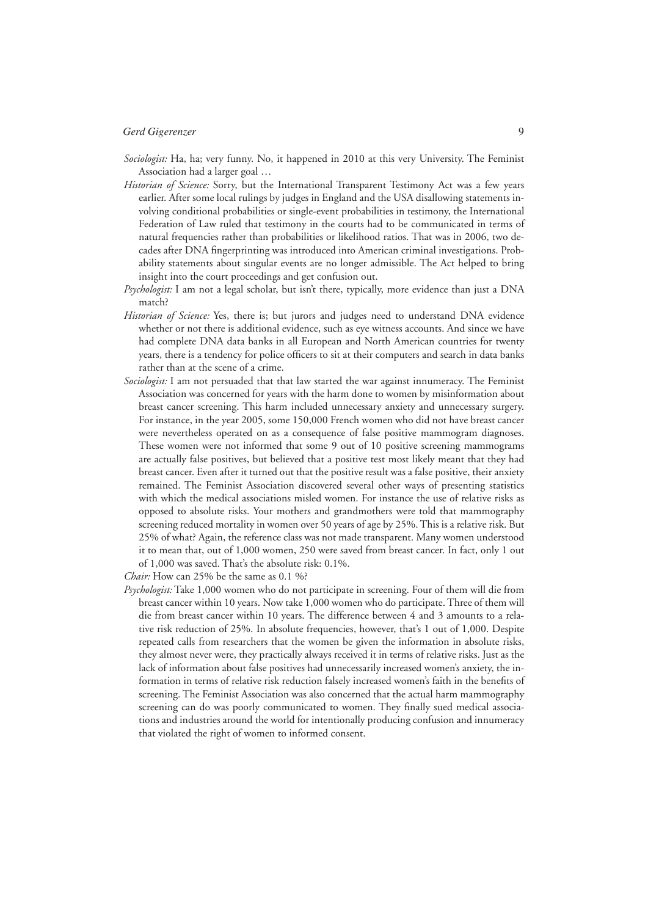- *Sociologist:* Ha, ha; very funny. No, it happened in 2010 at this very University. The Feminist Association had a larger goal …
- *Historian of Science:* Sorry, but the International Transparent Testimony Act was a few years earlier. After some local rulings by judges in England and the USA disallowing statements involving conditional probabilities or single-event probabilities in testimony, the International Federation of Law ruled that testimony in the courts had to be communicated in terms of natural frequencies rather than probabilities or likelihood ratios. That was in 2006, two decades after DNA fingerprinting was introduced into American criminal investigations. Probability statements about singular events are no longer admissible. The Act helped to bring insight into the court proceedings and get confusion out.
- *Psychologist:* I am not a legal scholar, but isn't there, typically, more evidence than just a DNA match?
- *Historian of Science:* Yes, there is; but jurors and judges need to understand DNA evidence whether or not there is additional evidence, such as eye witness accounts. And since we have had complete DNA data banks in all European and North American countries for twenty years, there is a tendency for police officers to sit at their computers and search in data banks rather than at the scene of a crime.
- *Sociologist:* I am not persuaded that that law started the war against innumeracy. The Feminist Association was concerned for years with the harm done to women by misinformation about breast cancer screening. This harm included unnecessary anxiety and unnecessary surgery. For instance, in the year 2005, some 150,000 French women who did not have breast cancer were nevertheless operated on as a consequence of false positive mammogram diagnoses. These women were not informed that some 9 out of 10 positive screening mammograms are actually false positives, but believed that a positive test most likely meant that they had breast cancer. Even after it turned out that the positive result was a false positive, their anxiety remained. The Feminist Association discovered several other ways of presenting statistics with which the medical associations misled women. For instance the use of relative risks as opposed to absolute risks. Your mothers and grandmothers were told that mammography screening reduced mortality in women over 50 years of age by 25%. This is a relative risk. But 25% of what? Again, the reference class was not made transparent. Many women understood it to mean that, out of 1,000 women, 250 were saved from breast cancer. In fact, only 1 out of 1,000 was saved. That's the absolute risk: 0.1%.

*Chair:* How can 25% be the same as 0.1 %?

*Psychologist:* Take 1,000 women who do not participate in screening. Four of them will die from breast cancer within 10 years. Now take 1,000 women who do participate. Three of them will die from breast cancer within 10 years. The difference between 4 and 3 amounts to a relative risk reduction of 25%. In absolute frequencies, however, that's 1 out of 1,000. Despite repeated calls from researchers that the women be given the information in absolute risks, they almost never were, they practically always received it in terms of relative risks. Just as the lack of information about false positives had unnecessarily increased women's anxiety, the information in terms of relative risk reduction falsely increased women's faith in the benefits of screening. The Feminist Association was also concerned that the actual harm mammography screening can do was poorly communicated to women. They finally sued medical associations and industries around the world for intentionally producing confusion and innumeracy that violated the right of women to informed consent.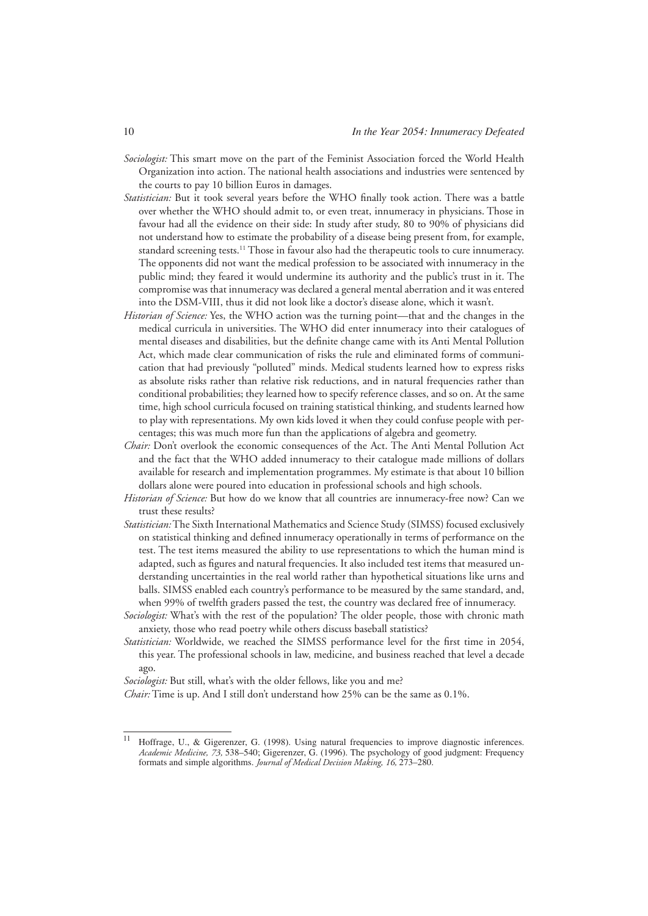- *Sociologist:* This smart move on the part of the Feminist Association forced the World Health Organization into action. The national health associations and industries were sentenced by the courts to pay 10 billion Euros in damages.
- *Statistician:* But it took several years before the WHO finally took action. There was a battle over whether the WHO should admit to, or even treat, innumeracy in physicians. Those in favour had all the evidence on their side: In study after study, 80 to 90% of physicians did not understand how to estimate the probability of a disease being present from, for example, standard screening tests.<sup>11</sup> Those in favour also had the therapeutic tools to cure innumeracy. The opponents did not want the medical profession to be associated with innumeracy in the public mind; they feared it would undermine its authority and the public's trust in it. The compromise was that innumeracy was declared a general mental aberration and it was entered into the DSM-VIII, thus it did not look like a doctor's disease alone, which it wasn't.
- *Historian of Science:* Yes, the WHO action was the turning point—that and the changes in the medical curricula in universities. The WHO did enter innumeracy into their catalogues of mental diseases and disabilities, but the definite change came with its Anti Mental Pollution Act, which made clear communication of risks the rule and eliminated forms of communication that had previously "polluted" minds. Medical students learned how to express risks as absolute risks rather than relative risk reductions, and in natural frequencies rather than conditional probabilities; they learned how to specify reference classes, and so on. At the same time, high school curricula focused on training statistical thinking, and students learned how to play with representations. My own kids loved it when they could confuse people with percentages; this was much more fun than the applications of algebra and geometry.
- *Chair:* Don't overlook the economic consequences of the Act. The Anti Mental Pollution Act and the fact that the WHO added innumeracy to their catalogue made millions of dollars available for research and implementation programmes. My estimate is that about 10 billion dollars alone were poured into education in professional schools and high schools.
- *Historian of Science:* But how do we know that all countries are innumeracy-free now? Can we trust these results?
- *Statistician:* The Sixth International Mathematics and Science Study (SIMSS) focused exclusively on statistical thinking and defined innumeracy operationally in terms of performance on the test. The test items measured the ability to use representations to which the human mind is adapted, such as figures and natural frequencies. It also included test items that measured understanding uncertainties in the real world rather than hypothetical situations like urns and balls. SIMSS enabled each country's performance to be measured by the same standard, and, when 99% of twelfth graders passed the test, the country was declared free of innumeracy.
- *Sociologist:* What's with the rest of the population? The older people, those with chronic math anxiety, those who read poetry while others discuss baseball statistics?
- *Statistician:* Worldwide, we reached the SIMSS performance level for the first time in 2054, this year. The professional schools in law, medicine, and business reached that level a decade ago.

*Sociologist:* But still, what's with the older fellows, like you and me?

*Chair:* Time is up. And I still don't understand how 25% can be the same as 0.1%.

<sup>11</sup> Hoffrage, U., & Gigerenzer, G. (1998). Using natural frequencies to improve diagnostic inferences. *Academic Medicine, 73,* 538–540; Gigerenzer, G. (1996). The psychology of good judgment: Frequency formats and simple algorithms. *Journal of Medical Decision Making, 16,* 273–280.